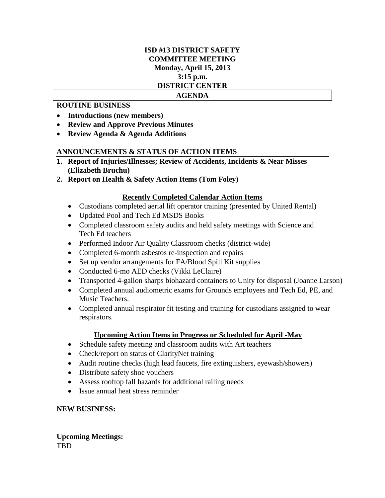# **ISD #13 DISTRICT SAFETY COMMITTEE MEETING Monday, April 15, 2013 3:15 p.m. DISTRICT CENTER**

## **AGENDA**

# **ROUTINE BUSINESS**

- **Introductions (new members)**
- **Review and Approve Previous Minutes**
- **Review Agenda & Agenda Additions**

# **ANNOUNCEMENTS & STATUS OF ACTION ITEMS**

- **1. Report of Injuries/Illnesses; Review of Accidents, Incidents & Near Misses (Elizabeth Bruchu)**
- **2. Report on Health & Safety Action Items (Tom Foley)**

# **Recently Completed Calendar Action Items**

- Custodians completed aerial lift operator training (presented by United Rental)
- Updated Pool and Tech Ed MSDS Books
- Completed classroom safety audits and held safety meetings with Science and Tech Ed teachers
- Performed Indoor Air Quality Classroom checks (district-wide)
- Completed 6-month asbestos re-inspection and repairs
- Set up vendor arrangements for FA/Blood Spill Kit supplies
- Conducted 6-mo AED checks (Vikki LeClaire)
- Transported 4-gallon sharps biohazard containers to Unity for disposal (Joanne Larson)
- Completed annual audiometric exams for Grounds employees and Tech Ed, PE, and Music Teachers.
- Completed annual respirator fit testing and training for custodians assigned to wear respirators.

## **Upcoming Action Items in Progress or Scheduled for April -May**

- Schedule safety meeting and classroom audits with Art teachers
- Check/report on status of ClarityNet training
- Audit routine checks (high lead faucets, fire extinguishers, eyewash/showers)
- Distribute safety shoe vouchers
- Assess rooftop fall hazards for additional railing needs
- Issue annual heat stress reminder

## **NEW BUSINESS:**

# **Upcoming Meetings:**

TBD